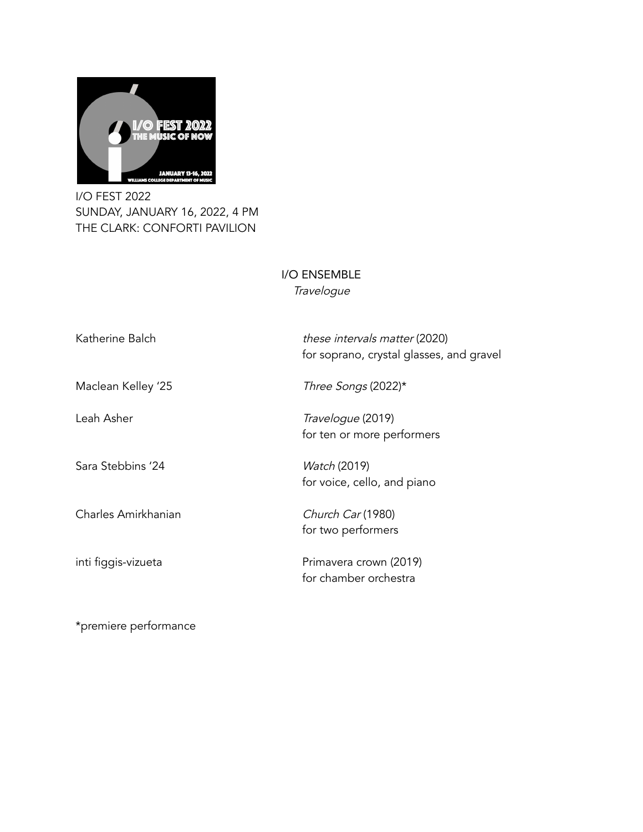

I/O FEST 2022 SUNDAY, JANUARY 16, 2022, 4 PM THE CLARK: CONFORTI PAVILION

## I/O ENSEMBLE **Travelogue**

| Katherine Balch     | these intervals matter (2020)<br>for soprano, crystal glasses, and gravel |
|---------------------|---------------------------------------------------------------------------|
| Maclean Kelley '25  | Three Songs (2022)*                                                       |
| Leah Asher          | <i>Travelogue</i> (2019)<br>for ten or more performers                    |
| Sara Stebbins '24   | <i>Watch</i> (2019)<br>for voice, cello, and piano                        |
| Charles Amirkhanian | Church Car (1980)<br>for two performers                                   |
| inti figgis-vizueta | Primavera crown (2019)<br>for chamber orchestra                           |

\*premiere performance